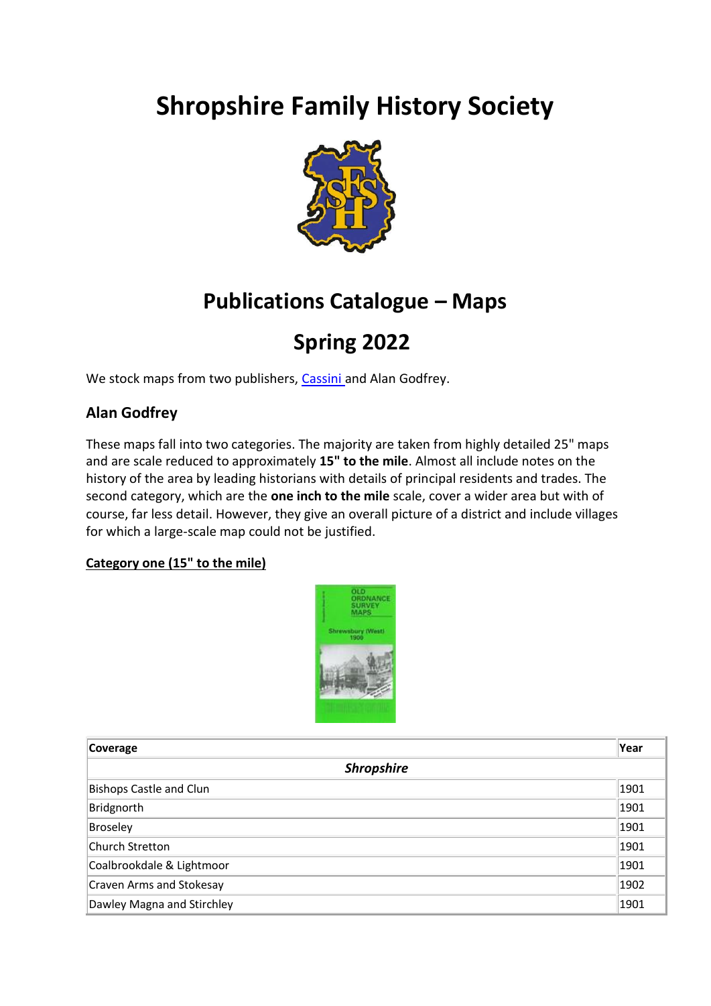# **Shropshire Family History Society**



# **Publications Catalogue – Maps**

# **Spring 2022**

We stock maps from two publishers, [Cassini a](#page-5-0)nd Alan Godfrey.

## **Alan Godfrey**

These maps fall into two categories. The majority are taken from highly detailed 25" maps and are scale reduced to approximately **15" to the mile**. Almost all include notes on the history of the area by leading historians with details of principal residents and trades. The second category, which are the **one inch to the mile** scale, cover a wider area but with of course, far less detail. However, they give an overall picture of a district and include villages for which a large-scale map could not be justified.

## **Category one (15" to the mile)**



| Coverage                       | Year |  |
|--------------------------------|------|--|
| <b>Shropshire</b>              |      |  |
| <b>Bishops Castle and Clun</b> | 1901 |  |
| Bridgnorth                     | 1901 |  |
| Broseley                       | 1901 |  |
| Church Stretton                | 1901 |  |
| Coalbrookdale & Lightmoor      | 1901 |  |
| Craven Arms and Stokesay       | 1902 |  |
| Dawley Magna and Stirchley     | 1901 |  |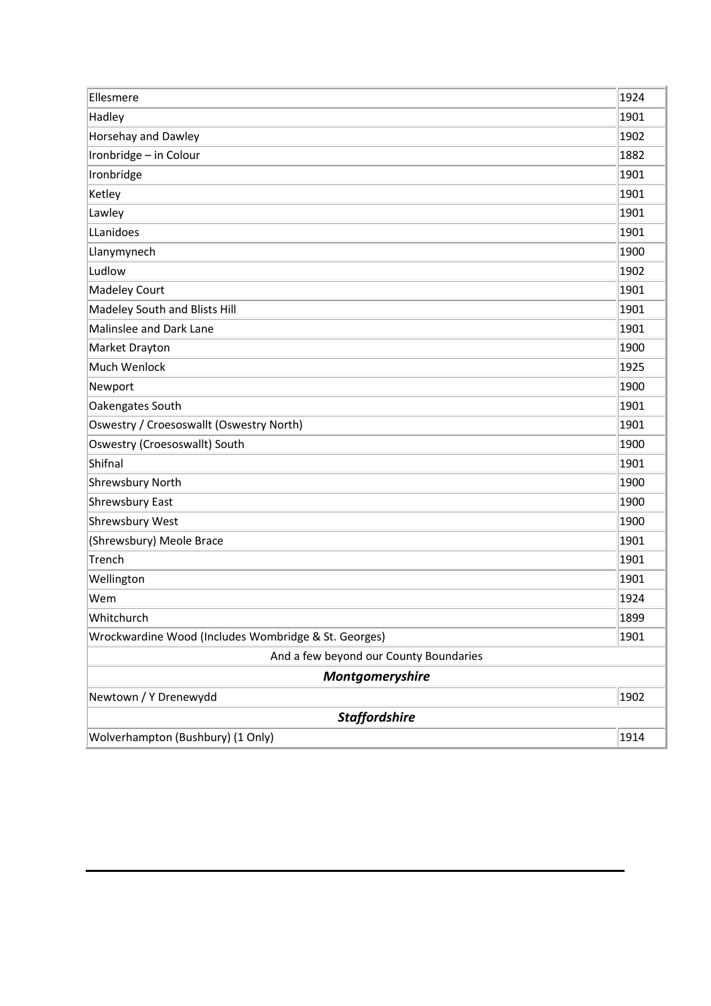| Ellesmere                                            | 1924 |
|------------------------------------------------------|------|
| Hadley                                               | 1901 |
| Horsehay and Dawley                                  | 1902 |
| Ironbridge - in Colour                               | 1882 |
| Ironbridge                                           | 1901 |
| Ketley                                               | 1901 |
| Lawley                                               | 1901 |
| LLanidoes                                            | 1901 |
| Llanymynech                                          | 1900 |
| Ludlow                                               | 1902 |
| Madeley Court                                        | 1901 |
| Madeley South and Blists Hill                        | 1901 |
| Malinslee and Dark Lane                              | 1901 |
| Market Drayton                                       | 1900 |
| Much Wenlock                                         | 1925 |
| Newport                                              | 1900 |
| Oakengates South                                     | 1901 |
| Oswestry / Croesoswallt (Oswestry North)             | 1901 |
| Oswestry (Croesoswallt) South                        | 1900 |
| Shifnal                                              | 1901 |
| <b>Shrewsbury North</b>                              | 1900 |
| Shrewsbury East                                      | 1900 |
| Shrewsbury West                                      | 1900 |
| (Shrewsbury) Meole Brace                             | 1901 |
| Trench                                               | 1901 |
| Wellington                                           | 1901 |
| Wem                                                  | 1924 |
| Whitchurch                                           | 1899 |
| Wrockwardine Wood (Includes Wombridge & St. Georges) | 1901 |
| And a few beyond our County Boundaries               |      |
| Montgomeryshire                                      |      |
| Newtown / Y Drenewydd                                | 1902 |
| <b>Staffordshire</b>                                 |      |
| Wolverhampton (Bushbury) (1 Only)                    | 1914 |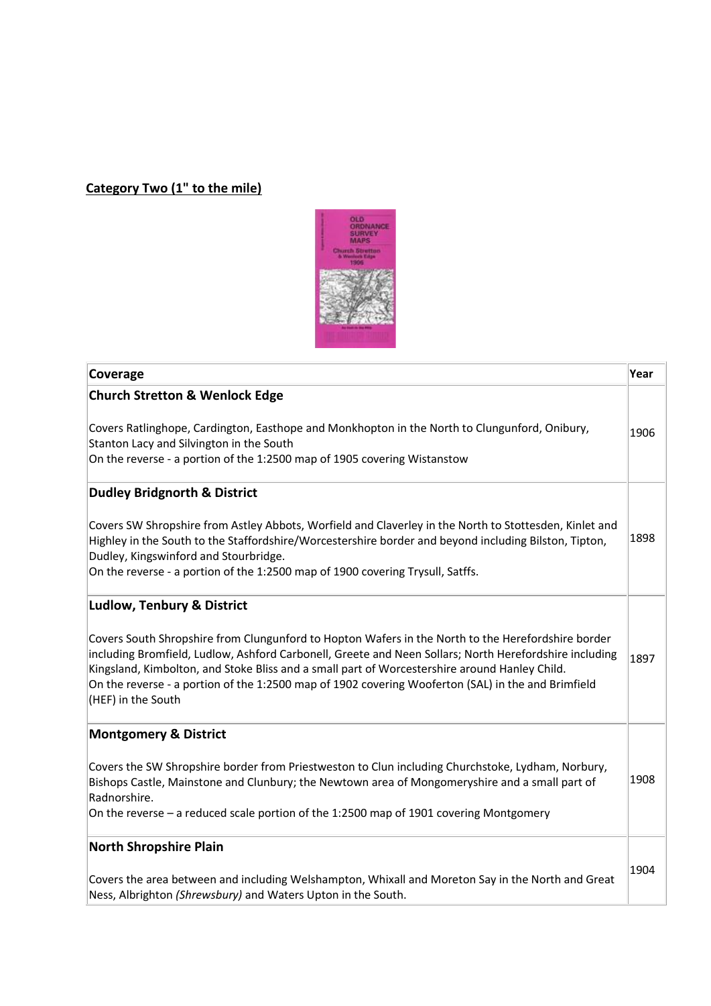## **Category Two (1" to the mile)**



| Coverage                                                                                                                                                                                                                                                                                                                                                                                                                                  | Year |
|-------------------------------------------------------------------------------------------------------------------------------------------------------------------------------------------------------------------------------------------------------------------------------------------------------------------------------------------------------------------------------------------------------------------------------------------|------|
| <b>Church Stretton &amp; Wenlock Edge</b>                                                                                                                                                                                                                                                                                                                                                                                                 |      |
| Covers Ratlinghope, Cardington, Easthope and Monkhopton in the North to Clungunford, Onibury,<br>Stanton Lacy and Silvington in the South<br>On the reverse - a portion of the 1:2500 map of 1905 covering Wistanstow                                                                                                                                                                                                                     | 1906 |
| <b>Dudley Bridgnorth &amp; District</b>                                                                                                                                                                                                                                                                                                                                                                                                   |      |
| Covers SW Shropshire from Astley Abbots, Worfield and Claverley in the North to Stottesden, Kinlet and<br>Highley in the South to the Staffordshire/Worcestershire border and beyond including Bilston, Tipton,<br>Dudley, Kingswinford and Stourbridge.<br>On the reverse - a portion of the 1:2500 map of 1900 covering Trysull, Satffs.                                                                                                | 1898 |
| <b>Ludlow, Tenbury &amp; District</b>                                                                                                                                                                                                                                                                                                                                                                                                     |      |
| Covers South Shropshire from Clungunford to Hopton Wafers in the North to the Herefordshire border<br>including Bromfield, Ludlow, Ashford Carbonell, Greete and Neen Sollars; North Herefordshire including<br>Kingsland, Kimbolton, and Stoke Bliss and a small part of Worcestershire around Hanley Child.<br>On the reverse - a portion of the 1:2500 map of 1902 covering Wooferton (SAL) in the and Brimfield<br>(HEF) in the South | 1897 |
| <b>Montgomery &amp; District</b>                                                                                                                                                                                                                                                                                                                                                                                                          |      |
| Covers the SW Shropshire border from Priestweston to Clun including Churchstoke, Lydham, Norbury,<br>Bishops Castle, Mainstone and Clunbury; the Newtown area of Mongomeryshire and a small part of<br>Radnorshire.<br>On the reverse - a reduced scale portion of the 1:2500 map of 1901 covering Montgomery                                                                                                                             | 1908 |
| <b>North Shropshire Plain</b>                                                                                                                                                                                                                                                                                                                                                                                                             |      |
| Covers the area between and including Welshampton, Whixall and Moreton Say in the North and Great<br>Ness, Albrighton (Shrewsbury) and Waters Upton in the South.                                                                                                                                                                                                                                                                         | 1904 |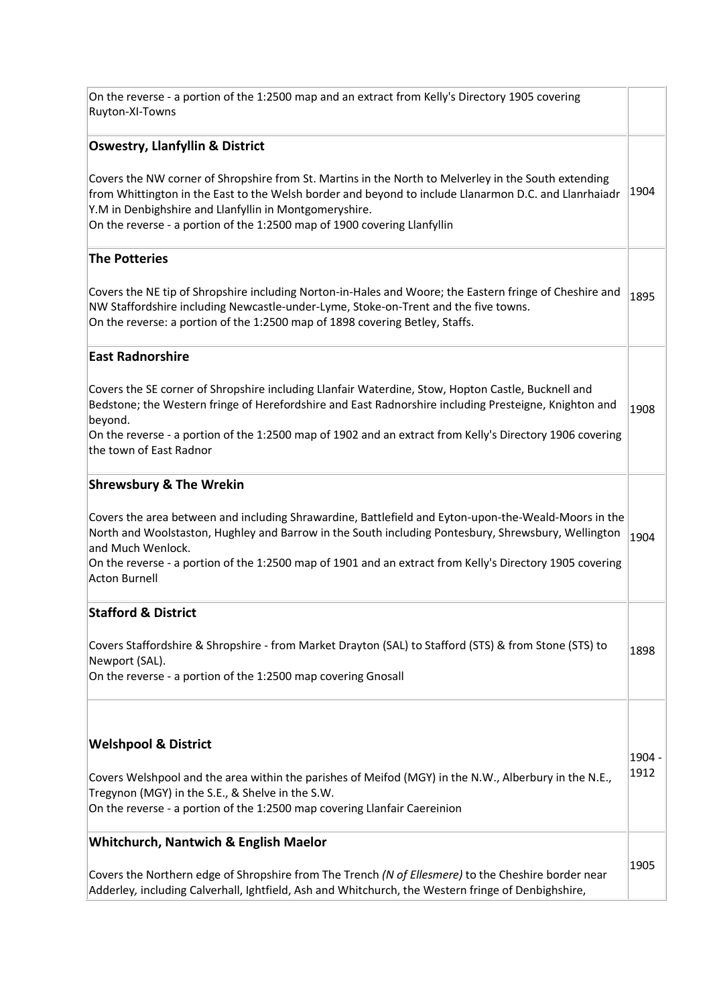On the reverse - a portion of the 1:2500 map and an extract from Kelly's Directory 1905 covering Ruyton-XI-Towns

### **Oswestry, Llanfyllin & District**

Covers the NW corner of Shropshire from St. Martins in the North to Melverley in the South extending from Whittington in the East to the Welsh border and beyond to include Llanarmon D.C. and Llanrhaiadr  $\parallel^{1904}$ Y.M in Denbighshire and Llanfyllin in Montgomeryshire. On the reverse - a portion of the 1:2500 map of 1900 covering Llanfyllin

### **The Potteries**

Covers the NE tip of Shropshire including Norton-in-Hales and Woore; the Eastern fringe of Cheshire and NW Staffordshire including Newcastle-under-Lyme, Stoke-on-Trent and the five towns. On the reverse: a portion of the 1:2500 map of 1898 covering Betley, Staffs. 1895

### **East Radnorshire**

Covers the SE corner of Shropshire including Llanfair Waterdine, Stow, Hopton Castle, Bucknell and Bedstone; the Western fringe of Herefordshire and East Radnorshire including Presteigne, Knighton and beyond. 1908

On the reverse - a portion of the 1:2500 map of 1902 and an extract from Kelly's Directory 1906 covering the town of East Radnor

### **Shrewsbury & The Wrekin**

Covers the area between and including Shrawardine, Battlefield and Eyton-upon-the-Weald-Moors in the North and Woolstaston, Hughley and Barrow in the South including Pontesbury, Shrewsbury, Wellington  $|$ 1904 and Much Wenlock.

On the reverse - a portion of the 1:2500 map of 1901 and an extract from Kelly's Directory 1905 covering Acton Burnell

### **Stafford & District**

Covers Staffordshire & Shropshire - from Market Drayton (SAL) to Stafford (STS) & from Stone (STS) to Newport (SAL). 1898

On the reverse - a portion of the 1:2500 map covering Gnosall

### **Welshpool & District**

Covers Welshpool and the area within the parishes of Meifod (MGY) in the N.W., Alberbury in the N.E., Tregynon (MGY) in the S.E., & Shelve in the S.W. On the reverse - a portion of the 1:2500 map covering Llanfair Caereinion 1912

1904 -

### **Whitchurch, Nantwich & English Maelor**

Covers the Northern edge of Shropshire from The Trench *(N of Ellesmere)* to the Cheshire border near Adderley*,* including Calverhall, Ightfield, Ash and Whitchurch, the Western fringe of Denbighshire, 1905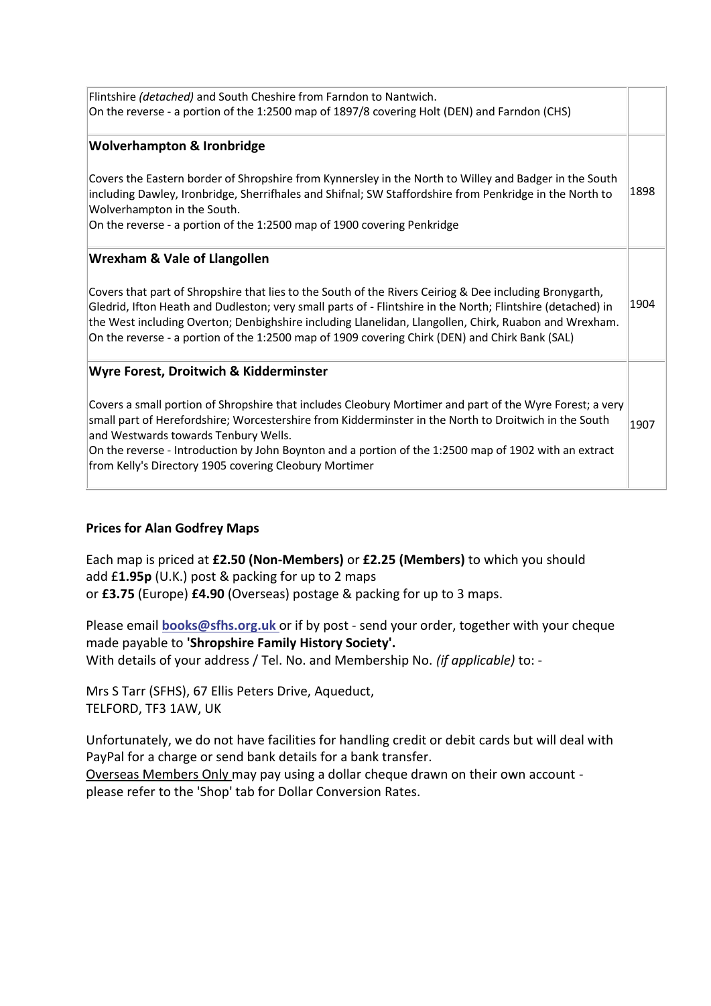| Flintshire (detached) and South Cheshire from Farndon to Nantwich.<br>On the reverse - a portion of the 1:2500 map of 1897/8 covering Holt (DEN) and Farndon (CHS)                                                                                                                                                                                                                                                                |      |
|-----------------------------------------------------------------------------------------------------------------------------------------------------------------------------------------------------------------------------------------------------------------------------------------------------------------------------------------------------------------------------------------------------------------------------------|------|
| <b>Wolverhampton &amp; Ironbridge</b>                                                                                                                                                                                                                                                                                                                                                                                             |      |
| Covers the Eastern border of Shropshire from Kynnersley in the North to Willey and Badger in the South<br>including Dawley, Ironbridge, Sherrifhales and Shifnal; SW Staffordshire from Penkridge in the North to<br>Wolverhampton in the South.<br>On the reverse - a portion of the 1:2500 map of 1900 covering Penkridge                                                                                                       | 1898 |
| <b>Wrexham &amp; Vale of Llangollen</b>                                                                                                                                                                                                                                                                                                                                                                                           |      |
| Covers that part of Shropshire that lies to the South of the Rivers Ceiriog & Dee including Bronygarth,<br>Gledrid, Ifton Heath and Dudleston; very small parts of - Flintshire in the North; Flintshire (detached) in<br>the West including Overton; Denbighshire including Llanelidan, Llangollen, Chirk, Ruabon and Wrexham.<br>On the reverse - a portion of the 1:2500 map of 1909 covering Chirk (DEN) and Chirk Bank (SAL) | 1904 |
| Wyre Forest, Droitwich & Kidderminster                                                                                                                                                                                                                                                                                                                                                                                            |      |
| Covers a small portion of Shropshire that includes Cleobury Mortimer and part of the Wyre Forest; a very<br>small part of Herefordshire; Worcestershire from Kidderminster in the North to Droitwich in the South<br>and Westwards towards Tenbury Wells.<br>On the reverse - Introduction by John Boynton and a portion of the 1:2500 map of 1902 with an extract<br>from Kelly's Directory 1905 covering Cleobury Mortimer      | 1907 |
|                                                                                                                                                                                                                                                                                                                                                                                                                                   |      |

### **Prices for Alan Godfrey Maps**

Each map is priced at **£2.50 (Non-Members)** or **£2.25 (Members)** to which you should add £**1.95p** (U.K.) post & packing for up to 2 maps or **£3.75** (Europe) **£4.90** (Overseas) postage & packing for up to 3 maps.

Please email **[books@sfhs.org.uk](mailto:books@sfhs.org.uk)** or if by post - send your order, together with your cheque made payable to **'Shropshire Family History Society'.** With details of your address / Tel. No. and Membership No. *(if applicable)* to: -

Mrs S Tarr (SFHS), 67 Ellis Peters Drive, Aqueduct, TELFORD, TF3 1AW, UK

Unfortunately, we do not have facilities for handling credit or debit cards but will deal with PayPal for a charge or send bank details for a bank transfer.

Overseas Members Only may pay using a dollar cheque drawn on their own account please refer to the 'Shop' tab for Dollar Conversion Rates.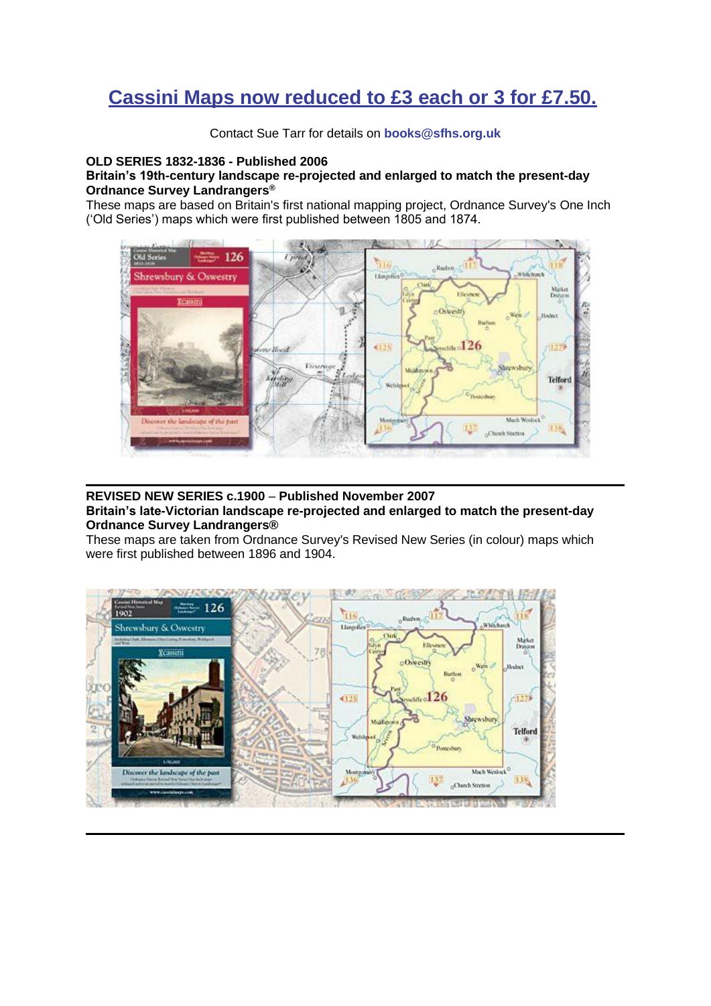# <span id="page-5-0"></span>**Cassini Maps now reduced to £3 each or 3 for £7.50.**

Contact Sue Tarr for details on **[books@sfhs.org.uk](mailto:books@sfhs.org.uk)**

### **OLD SERIES 1832-1836 - Published 2006**

### **Britain's 19th-century landscape re-projected and enlarged to match the present-day Ordnance Survey Landrangers®**

These maps are based on Britain's first national mapping project, Ordnance Survey's One Inch ('Old Series') maps which were first published between 1805 and 1874.



### **REVISED NEW SERIES c.1900** – **Published November 2007**

**Britain's late-Victorian landscape re-projected and enlarged to match the present-day Ordnance Survey Landrangers®**

These maps are taken from Ordnance Survey's Revised New Series (in colour) maps which were first published between 1896 and 1904.

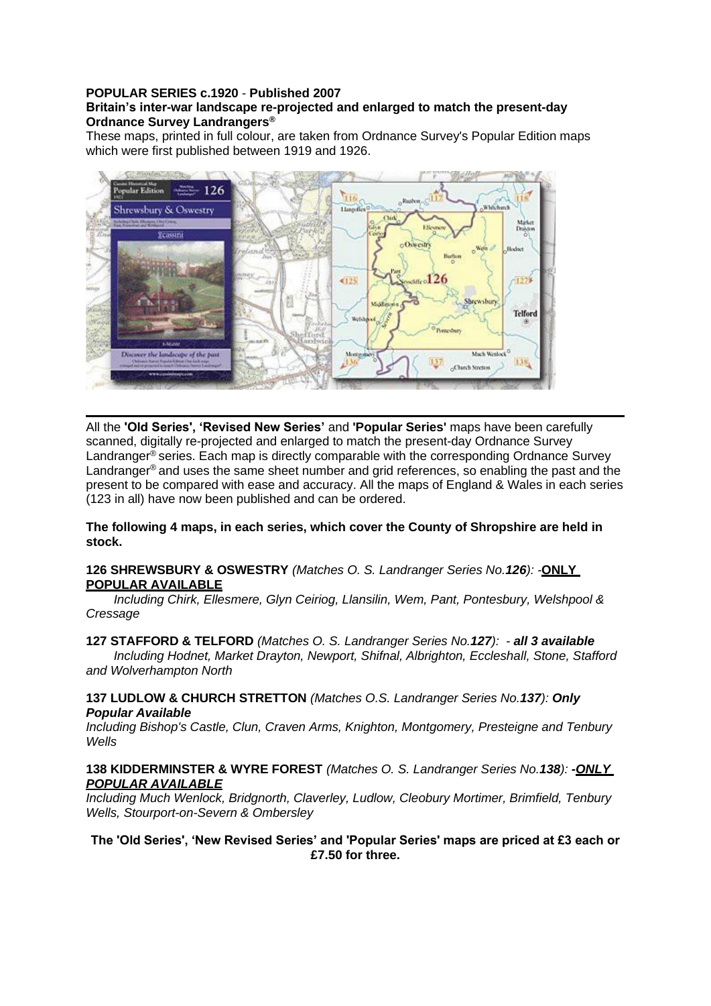#### **POPULAR SERIES c.1920** - **Published 2007 Britain's inter-war landscape re-projected and enlarged to match the present-day Ordnance Survey Landrangers®**

These maps, printed in full colour, are taken from Ordnance Survey's Popular Edition maps which were first published between 1919 and 1926.



All the **'Old Series', 'Revised New Series'** and **'Popular Series'** maps have been carefully scanned, digitally re-projected and enlarged to match the present-day Ordnance Survey Landranger<sup>®</sup> series. Each map is directly comparable with the corresponding Ordnance Survey Landranger<sup>®</sup> and uses the same sheet number and grid references, so enabling the past and the present to be compared with ease and accuracy. All the maps of England & Wales in each series (123 in all) have now been published and can be ordered.

**The following 4 maps, in each series, which cover the County of Shropshire are held in stock.**

### **126 SHREWSBURY & OSWESTRY** *(Matches O. S. Landranger Series No.126): -***ONLY POPULAR AVAILABLE**

*Including Chirk, Ellesmere, Glyn Ceiriog, Llansilin, Wem, Pant, Pontesbury, Welshpool & Cressage*

**127 STAFFORD & TELFORD** *(Matches O. S. Landranger Series No.127): - all 3 available Including Hodnet, Market Drayton, Newport, Shifnal, Albrighton, Eccleshall, Stone, Stafford and Wolverhampton North*

**137 LUDLOW & CHURCH STRETTON** *(Matches O.S. Landranger Series No.137): Only Popular Available*

*Including Bishop's Castle, Clun, Craven Arms, Knighton, Montgomery, Presteigne and Tenbury Wells*

### **138 KIDDERMINSTER & WYRE FOREST** *(Matches O. S. Landranger Series No.138): -ONLY POPULAR AVAILABLE*

*Including Much Wenlock, Bridgnorth, Claverley, Ludlow, Cleobury Mortimer, Brimfield, Tenbury Wells, Stourport-on-Severn & Ombersley*

### **The 'Old Series', 'New Revised Series' and 'Popular Series' maps are priced at £3 each or £7.50 for three.**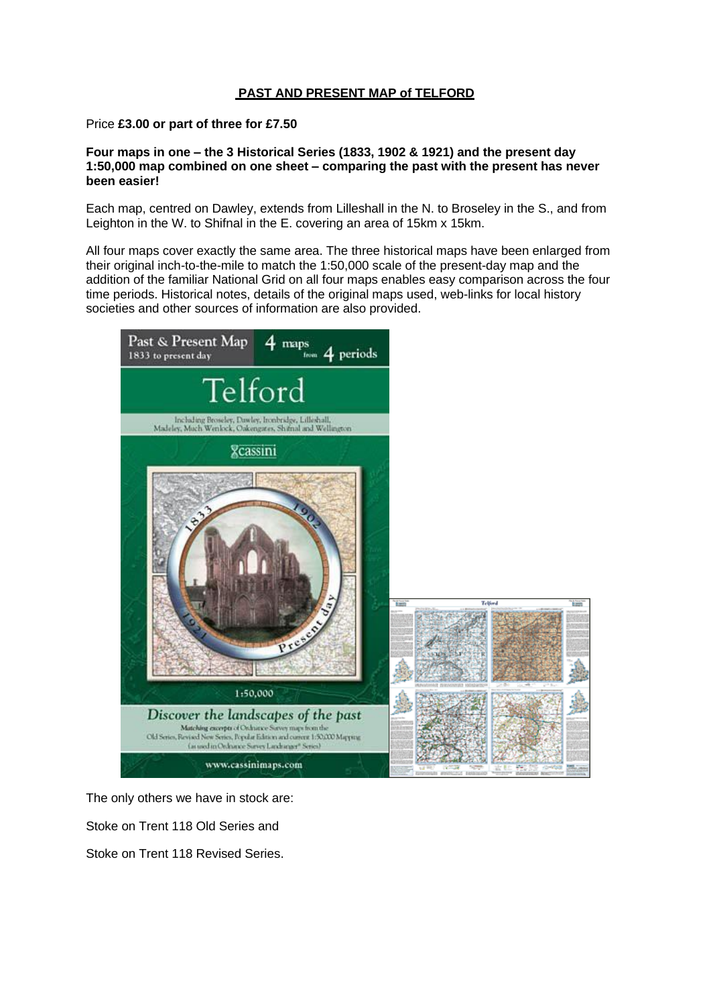### **PAST AND PRESENT MAP of TELFORD**

Price **£3.00 or part of three for £7.50**

**Four maps in one – the 3 Historical Series (1833, 1902 & 1921) and the present day 1:50,000 map combined on one sheet – comparing the past with the present has never been easier!**

Each map, centred on Dawley, extends from Lilleshall in the N. to Broseley in the S., and from Leighton in the W. to Shifnal in the E. covering an area of 15km x 15km.

All four maps cover exactly the same area. The three historical maps have been enlarged from their original inch-to-the-mile to match the 1:50,000 scale of the present-day map and the addition of the familiar National Grid on all four maps enables easy comparison across the four time periods. Historical notes, details of the original maps used, web-links for local history societies and other sources of information are also provided.



The only others we have in stock are:

Stoke on Trent 118 Old Series and

Stoke on Trent 118 Revised Series.